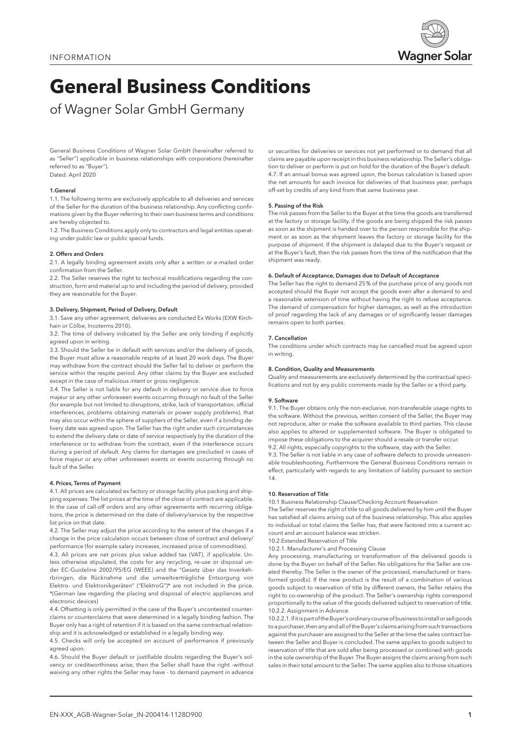

# **General Business Conditions**

of Wagner Solar GmbH Germany

General Business Conditions of Wagner Solar GmbH (hereinafter referred to as "Seller") applicable in business relationships with corporations (hereinafter referred to as "Buyer"). Dated: April 2020

### 1.General

1.1. The following terms are exclusively applicable to all deliveries and services of the Seller for the duration of the business relationship. Any conflicting confirmations given by the Buyer referring to their own business terms and conditions are hereby objected to.

1.2. The Business Conditions apply only to contractors and legal entities operating under public law or public special funds.

## 2. Offers and Orders

2.1. A legally binding agreement exists only after a written or e-mailed order confirmation from the Seller.

2.2. The Seller reserves the right to technical modifications regarding the construction, form and material up to and including the period of delivery, provided they are reasonable for the Buyer.

## 3. Delivery, Shipment, Period of Delivery, Default

3.1. Save any other agreement, deliveries are conducted Ex Works (EXW Kirchhain or Cölbe, Incoterms 2010).

3.2. The time of delivery indicated by the Seller are only binding if explicitly agreed upon in writing.

3.3. Should the Seller be in default with services and/or the delivery of goods, the Buyer must allow a reasonable respite of at least 20 work days. The Buyer may withdraw from the contract should the Seller fail to deliver or perform the service within the respite period. Any other claims by the Buyer are excluded except in the case of malicious intent or gross negligence.

3.4. The Seller is not liable for any default in delivery or service due to force majeur or any other unforeseen events occurring through no fault of the Seller (for example but not limited to disruptions, strike, lack of transportation, official interferences, problems obtaining materials or power supply problems), that may also occur within the sphere of suppliers of the Seller, even if a binding delivery date was agreed upon. The Seller has the right under such circumstances to extend the delivery date or date of service respectively by the duration of the interference or to withdraw from the contract, even if the interference occurs during a period of default. Any claims for damages are precluded in cases of force majeur or any other unforeseen events or events occurring through no fault of the Seller.

# 4. Prices, Terms of Payment

4.1. All prices are calculated ex factory or storage facility plus packing and shipping expenses. The list prices at the time of the close of contract are applicable. In the case of call-off orders and any other agreements with recurring obligations, the price is determined on the date of delivery/service by the respective list price on that date.

4.2. The Seller may adjust the price according to the extent of the changes if a change in the price calculation occurs between close of contract and delivery/ performance (for example salary increases, increased price of commodities).

4.3. All prices are net prices plus value added tax (VAT), if applicable. Unless otherwise stipulated, the costs for any recycling, re-use or disposal under EC-Guideline 2002/95/EG (WEEE) and the "Gesetz über das Inverkehrbringen, die Rücknahme und die umweltverträgliche Entsorgung von Elektro- und Elektronikgeräten" ("ElektroG")\* are not included in the price. \*(German law regarding the placing and disposal of electric appliances and electronic devices)

4.4. Offsetting is only permitted in the case of the Buyer's uncontested counterclaims or counterclaims that were determined in a legally binding fashion. The Buyer only has a right of retention if it is based on the same contractual relationship and it is acknowledged or established in a legally binding way.

4.5. Checks will only be accepted on account of performance if previously agreed upon.

4.6. Should the Buyer default or justifiable doubts regarding the Buyer's solvency or creditworthiness arise, then the Seller shall have the right -without waiving any other rights the Seller may have - to demand payment in advance

or securities for deliveries or services not yet performed or to demand that all claims are payable upon receipt in this business relationship. The Seller's obligation to deliver or perform is put on hold for the duration of the Buyer's default. 4.7. If an annual bonus was agreed upon, the bonus calculation is based upon the net amounts for each invoice for deliveries of that business year, perhaps off-set by credits of any kind from that same business year.

## 5. Passing of the Risk

The risk passes from the Seller to the Buyer at the time the goods are transferred at the factory or storage facility, if the goods are being shipped the risk passes as soon as the shipment is handed over to the person responsible for the shipment or as soon as the shipment leaves the factory or storage facility for the purpose of shipment. If the shipment is delayed due to the Buyer's request or at the Buyer's fault, then the risk passes from the time of the notification that the shipment was ready.

## 6. Default of Acceptance, Damages due to Default of Acceptance

The Seller has the right to demand 25% of the purchase price of any goods not accepted should the Buyer not accept the goods even after a demand to and a reasonable extension of time without having the right to refuse acceptance. The demand of compensation for higher damages, as well as the introduction of proof regarding the lack of any damages or of significantly lesser damages remains open to both parties.

## 7. Cancellation

The conditions under which contracts may be cancelled must be agreed upon in writing.

## 8. Condition, Quality and Measurements

Quality and measurements are exclusively determined by the contractual specifications and not by any public comments made by the Seller or a third party.

## 9. Software

9.1. The Buyer obtains only the non-exclusive, non-transferable usage rights to the software. Without the previous, written consent of the Seller, the Buyer may not reproduce, alter or make the software available to third parties. This clause also applies to altered or supplemented software. The Buyer is obligated to impose these obligations to the acquirer should a resale or transfer occur.

9.2. All rights, especially copyrights to the software, stay with the Seller.

9.3. The Seller is not liable in any case of software defects to provide unreasonable troubleshooting. Furthermore the General Business Conditions remain in effect, particularly with regards to any limitation of liability pursuant to section 14.

## 10. Reservation of Title

10.1 Business Relationship Clause/Checking Account Reservation

The Seller reserves the right of title to all goods delivered by him until the Buyer has satisfied all claims arising out of the business relationship. This also applies to individual or total claims the Seller has, that were factored into a current account and an account balance was stricken.

10.2.Extended Reservation of Title

10.2.1. Manufacturer's and Processing Clause

Any processing, manufacturing or transformation of the delivered goods is done by the Buyer on behalf of the Seller. No obligations for the Seller are created thereby. The Seller is the owner of the processed, manufactured or transformed good(s). If the new product is the result of a combination of various goods subject to reservation of title by different owners, the Seller retains the right to co-ownership of the product. The Seller's ownership rights correspond proportionally to the value of the goods delivered subject to reservation of title. 10.2.2. Assignment in Advance

10.2.2.1. If it is part of the Buyer's ordinary course of business to install or sell goods to a purchaser, then any and all of the Buyer's claims arising from such transactions against the purchaser are assigned to the Seller at the time the sales contract between the Seller and Buyer is concluded. The same applies to goods subject to reservation of title that are sold after being processed or combined with goods in the sole ownership of the Buyer. The Buyer assigns the claims arising from such sales in their total amount to the Seller. The same applies also to those situations